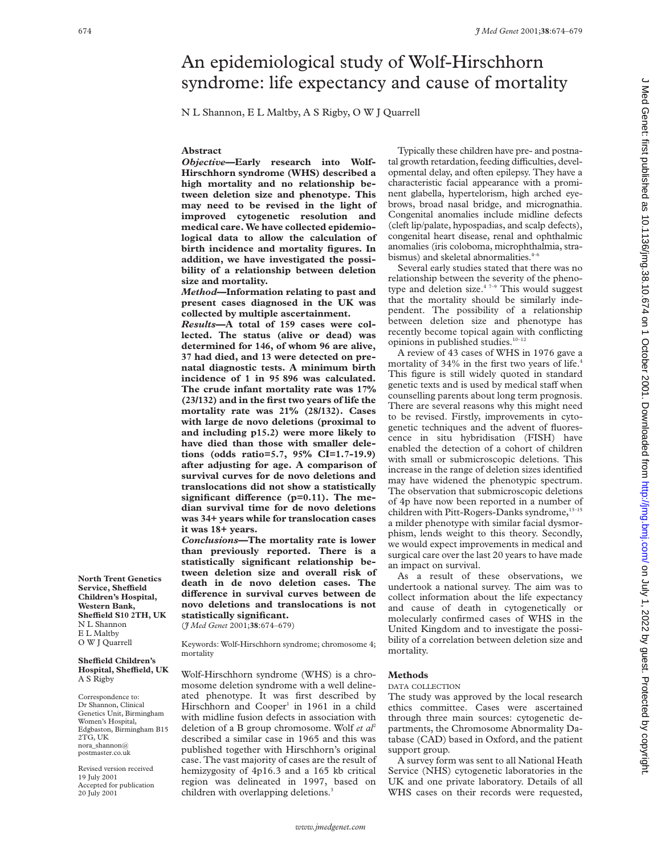# An epidemiological study of Wolf-Hirschhorn syndrome: life expectancy and cause of mortality

N L Shannon, E L Maltby, A S Rigby, O W J Quarrell

## **Abstract**

*Objective***—Early research into Wolf-Hirschhorn syndrome (WHS) described a high mortality and no relationship between deletion size and phenotype. This may need to be revised in the light of improved cytogenetic resolution and medical care. We have collected epidemiological data to allow the calculation of birth incidence and mortality figures. In addition, we have investigated the possibility of a relationship between deletion size and mortality.**

*Method***—Information relating to past and present cases diagnosed in the UK was collected by multiple ascertainment.**

*Results***—A total of 159 cases were collected. The status (alive or dead) was determined for 146, of whom 96 are alive, 37 had died, and 13 were detected on prenatal diagnostic tests. A minimum birth incidence of 1 in 95 896 was calculated. The crude infant mortality rate was 17% (23/132) and in the first two years of life the mortality rate was 21% (28/132). Cases with large de novo deletions (proximal to and including p15.2) were more likely to have died than those with smaller deletions (odds ratio=5.7, 95% CI=1.7-19.9) after adjusting for age. A comparison of survival curves for de novo deletions and translocations did not show a statistically** significant difference (p=0.11). The me**dian survival time for de novo deletions was 34+ years while for translocation cases it was 18+ years.**

*Conclusions***—The mortality rate is lower than previously reported. There is a statistically significant relationship between deletion size and overall risk of death in de novo deletion cases. The diVerence in survival curves between de novo deletions and translocations is not statistically significant.**

(*J Med Genet* 2001;**38**:674–679)

Keywords: Wolf-Hirschhorn syndrome; chromosome 4; mortality

Wolf-Hirschhorn syndrome (WHS) is a chromosome deletion syndrome with a well delineated phenotype. It was first described by Hirschhorn and Cooper<sup>1</sup> in 1961 in a child with midline fusion defects in association with deletion of a B group chromosome. Wolf *et al*<sup>2</sup> described a similar case in 1965 and this was published together with Hirschhorn's original case. The vast majority of cases are the result of hemizygosity of 4p16.3 and a 165 kb critical region was delineated in 1997, based on children with overlapping deletions.<sup>3</sup>

Typically these children have pre- and postnatal growth retardation, feeding difficulties, developmental delay, and often epilepsy. They have a characteristic facial appearance with a prominent glabella, hypertelorism, high arched eyebrows, broad nasal bridge, and micrognathia. Congenital anomalies include midline defects (cleft lip/palate, hypospadias, and scalp defects), congenital heart disease, renal and ophthalmic anomalies (iris coloboma, microphthalmia, strabismus) and skeletal abnormalities.<sup>4-6</sup>

Several early studies stated that there was no relationship between the severity of the phenotype and deletion size.<sup>47-9</sup> This would suggest that the mortality should be similarly independent. The possibility of a relationship between deletion size and phenotype has recently become topical again with conflicting opinions in published studies.10–12

A review of 43 cases of WHS in 1976 gave a mortality of 34% in the first two years of life.<sup>4</sup> This figure is still widely quoted in standard genetic texts and is used by medical staff when counselling parents about long term prognosis. There are several reasons why this might need to be revised. Firstly, improvements in cytogenetic techniques and the advent of fluorescence in situ hybridisation (FISH) have enabled the detection of a cohort of children with small or submicroscopic deletions. This increase in the range of deletion sizes identified may have widened the phenotypic spectrum. The observation that submicroscopic deletions of 4p have now been reported in a number of children with Pitt-Rogers-Danks syndrome, $13-15$ a milder phenotype with similar facial dysmorphism, lends weight to this theory. Secondly, we would expect improvements in medical and surgical care over the last 20 years to have made an impact on survival.

As a result of these observations, we undertook a national survey. The aim was to collect information about the life expectancy and cause of death in cytogenetically or molecularly confirmed cases of WHS in the United Kingdom and to investigate the possibility of a correlation between deletion size and mortality.

## **Methods**

## DATA COLLECTION

The study was approved by the local research ethics committee. Cases were ascertained through three main sources: cytogenetic departments, the Chromosome Abnormality Database (CAD) based in Oxford, and the patient support group.

A survey form was sent to all National Heath Service (NHS) cytogenetic laboratories in the UK and one private laboratory. Details of all WHS cases on their records were requested,

**North Trent Genetics Service, SheYeld Children's Hospital, Western Bank, SheYeld S10 2TH, UK** N L Shannon E L Maltby O W J Quarrell

**SheYeld Children's Hospital, SheYeld, UK** A S Rigby

Correspondence to: Dr Shannon, Clinical Genetics Unit, Birmingham Women's Hospital. Edgbaston, Birmingham B15 2TG, UK nora\_shannon@ postmaster.co.uk

Revised version received 19 July 2001 Accepted for publication 20 July 2001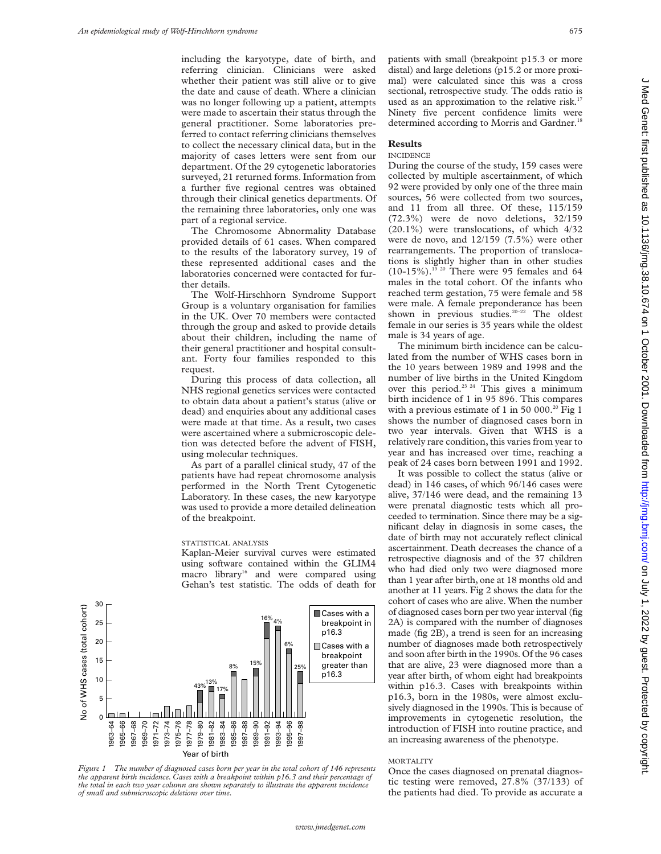including the karyotype, date of birth, and referring clinician. Clinicians were asked whether their patient was still alive or to give the date and cause of death. Where a clinician was no longer following up a patient, attempts were made to ascertain their status through the general practitioner. Some laboratories preferred to contact referring clinicians themselves to collect the necessary clinical data, but in the majority of cases letters were sent from our department. Of the 29 cytogenetic laboratories surveyed, 21 returned forms. Information from a further five regional centres was obtained through their clinical genetics departments. Of the remaining three laboratories, only one was part of a regional service.

The Chromosome Abnormality Database provided details of 61 cases. When compared to the results of the laboratory survey, 19 of these represented additional cases and the laboratories concerned were contacted for further details.

The Wolf-Hirschhorn Syndrome Support Group is a voluntary organisation for families in the UK. Over 70 members were contacted through the group and asked to provide details about their children, including the name of their general practitioner and hospital consultant. Forty four families responded to this request.

During this process of data collection, all NHS regional genetics services were contacted to obtain data about a patient's status (alive or dead) and enquiries about any additional cases were made at that time. As a result, two cases were ascertained where a submicroscopic deletion was detected before the advent of FISH, using molecular techniques.

As part of a parallel clinical study, 47 of the patients have had repeat chromosome analysis performed in the North Trent Cytogenetic Laboratory. In these cases, the new karyotype was used to provide a more detailed delineation of the breakpoint.

### STATISTICAL ANALYSIS

Kaplan-Meier survival curves were estimated using software contained within the GLIM4  $\frac{m}{g}$  macro library<sup>16</sup> and were compared using Gehan's test statistic. The odds of death for





patients with small (breakpoint p15.3 or more distal) and large deletions (p15.2 or more proximal) were calculated since this was a cross sectional, retrospective study. The odds ratio is used as an approximation to the relative risk. $17$ Ninety five percent confidence limits were determined according to Morris and Gardner.<sup>18</sup>

## **Results**

## **INCIDENCE**

During the course of the study, 159 cases were collected by multiple ascertainment, of which 92 were provided by only one of the three main sources, 56 were collected from two sources, and 11 from all three. Of these, 115/159 (72.3%) were de novo deletions, 32/159 (20.1%) were translocations, of which 4/32 were de novo, and 12/159 (7.5%) were other rearrangements. The proportion of translocations is slightly higher than in other studies  $(10-15\%)$ .<sup>19 20</sup> There were 95 females and 64 males in the total cohort. Of the infants who reached term gestation, 75 were female and 58 were male. A female preponderance has been shown in previous studies.<sup>20-22</sup> The oldest female in our series is 35 years while the oldest male is 34 years of age.

The minimum birth incidence can be calculated from the number of WHS cases born in the 10 years between 1989 and 1998 and the number of live births in the United Kingdom over this period.<sup>23 24</sup> This gives a minimum birth incidence of 1 in 95 896. This compares with a previous estimate of 1 in 50 000.<sup>20</sup> Fig 1 shows the number of diagnosed cases born in two year intervals. Given that WHS is a relatively rare condition, this varies from year to year and has increased over time, reaching a peak of 24 cases born between 1991 and 1992.

It was possible to collect the status (alive or dead) in 146 cases, of which 96/146 cases were alive, 37/146 were dead, and the remaining 13 were prenatal diagnostic tests which all proceeded to termination. Since there may be a significant delay in diagnosis in some cases, the date of birth may not accurately reflect clinical ascertainment. Death decreases the chance of a retrospective diagnosis and of the 37 children who had died only two were diagnosed more than 1 year after birth, one at 18 months old and another at 11 years. Fig 2 shows the data for the cohort of cases who are alive. When the number of diagnosed cases born per two year interval (fig 2A) is compared with the number of diagnoses made (fig 2B), a trend is seen for an increasing number of diagnoses made both retrospectively and soon after birth in the 1990s. Of the 96 cases that are alive, 23 were diagnosed more than a year after birth, of whom eight had breakpoints within p16.3. Cases with breakpoints within p16.3, born in the 1980s, were almost exclusively diagnosed in the 1990s. This is because of improvements in cytogenetic resolution, the introduction of FISH into routine practice, and an increasing awareness of the phenotype.

## MORTALITY

Once the cases diagnosed on prenatal diagnostic testing were removed, 27.8% (37/133) of the patients had died. To provide as accurate a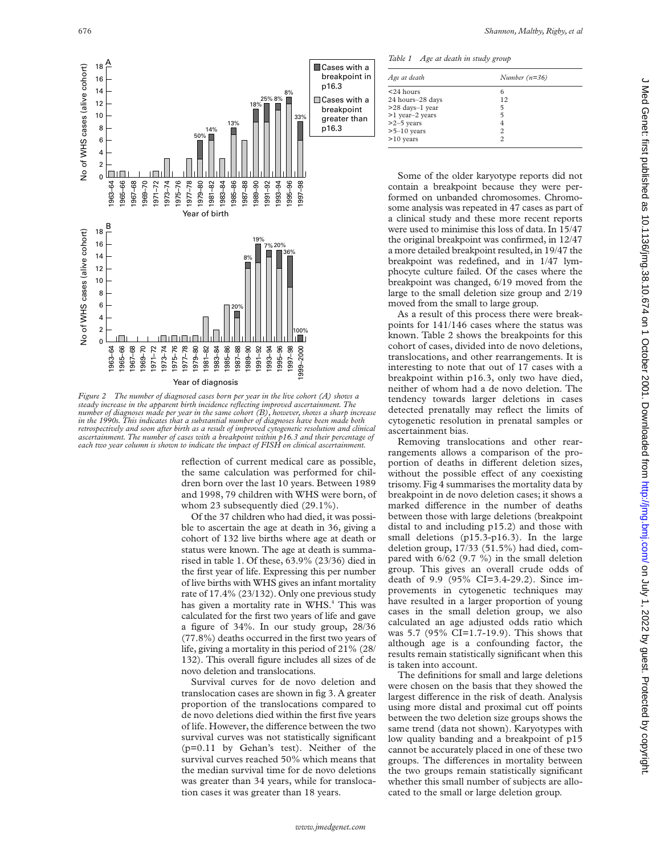



*steady increase in the apparent birth incidence reflecting improved ascertainment. The number of diagnoses made per year in the same cohort (B), however, shows a sharp increase in the 1990s. This indicates that a substantial number of diagnoses have been made both retrospectively and soon after birth as a result of improved cytogenetic resolution and clinical ascertainment. The number of cases with a breakpoint within p16.3 and their percentage of each two year column is shown to indicate the impact of FISH on clinical ascertainment.*

reflection of current medical care as possible, the same calculation was performed for children born over the last 10 years. Between 1989 and 1998, 79 children with WHS were born, of whom 23 subsequently died (29.1%).

8%

1995–96 1997–98

33%

Cases with a breakpoint in p16.3 □Cases with a breakpoint greater than p16.3

Of the 37 children who had died, it was possible to ascertain the age at death in 36, giving a cohort of 132 live births where age at death or status were known. The age at death is summarised in table 1. Of these, 63.9% (23/36) died in the first year of life. Expressing this per number of live births with WHS gives an infant mortality rate of 17.4% (23/132). Only one previous study has given a mortality rate in WHS.<sup>4</sup> This was calculated for the first two years of life and gave a figure of 34%. In our study group, 28/36 (77.8%) deaths occurred in the first two years of life, giving a mortality in this period of 21% (28/ 132). This overall figure includes all sizes of de novo deletion and translocations.

Survival curves for de novo deletion and translocation cases are shown in fig 3. A greater proportion of the translocations compared to de novo deletions died within the first five years of life. However, the difference between the two survival curves was not statistically significant (p=0.11 by Gehan's test). Neither of the survival curves reached 50% which means that the median survival time for de novo deletions was greater than 34 years, while for translocation cases it was greater than 18 years.

*Table 1 Age at death in study group*

| Age at death     | Number $(n=36)$ |
|------------------|-----------------|
| $<$ 24 hours     | 6               |
| 24 hours-28 days | 12              |
| >28 days-1 year  | 5               |
| >1 year-2 years  | 5               |
| $>2-5$ years     | 4               |
| $>5-10$ years    | 2               |
| $>10$ years      | っ               |

Some of the older karyotype reports did not contain a breakpoint because they were performed on unbanded chromosomes. Chromosome analysis was repeated in 47 cases as part of a clinical study and these more recent reports were used to minimise this loss of data. In 15/47 the original breakpoint was confirmed, in 12/47 a more detailed breakpoint resulted, in 19/47 the breakpoint was redefined, and in 1/47 lymphocyte culture failed. Of the cases where the breakpoint was changed, 6/19 moved from the large to the small deletion size group and 2/19 moved from the small to large group.

As a result of this process there were breakpoints for 141/146 cases where the status was known. Table 2 shows the breakpoints for this cohort of cases, divided into de novo deletions, translocations, and other rearrangements. It is interesting to note that out of 17 cases with a breakpoint within p16.3, only two have died, neither of whom had a de novo deletion. The tendency towards larger deletions in cases detected prenatally may reflect the limits of cytogenetic resolution in prenatal samples or ascertainment bias.

Removing translocations and other rearrangements allows a comparison of the proportion of deaths in different deletion sizes, without the possible effect of any coexisting trisomy. Fig 4 summarises the mortality data by breakpoint in de novo deletion cases; it shows a marked difference in the number of deaths between those with large deletions (breakpoint distal to and including p15.2) and those with small deletions (p15.3-p16.3). In the large deletion group, 17/33 (51.5%) had died, compared with 6/62 (9.7 %) in the small deletion group. This gives an overall crude odds of death of 9.9 (95% CI=3.4-29.2). Since improvements in cytogenetic techniques may have resulted in a larger proportion of young cases in the small deletion group, we also calculated an age adjusted odds ratio which was 5.7 (95% CI=1.7-19.9). This shows that although age is a confounding factor, the results remain statistically significant when this is taken into account.

The definitions for small and large deletions were chosen on the basis that they showed the largest difference in the risk of death. Analysis using more distal and proximal cut off points between the two deletion size groups shows the same trend (data not shown). Karyotypes with low quality banding and a breakpoint of p15 cannot be accurately placed in one of these two groups. The differences in mortality between the two groups remain statistically significant whether this small number of subjects are allocated to the small or large deletion group.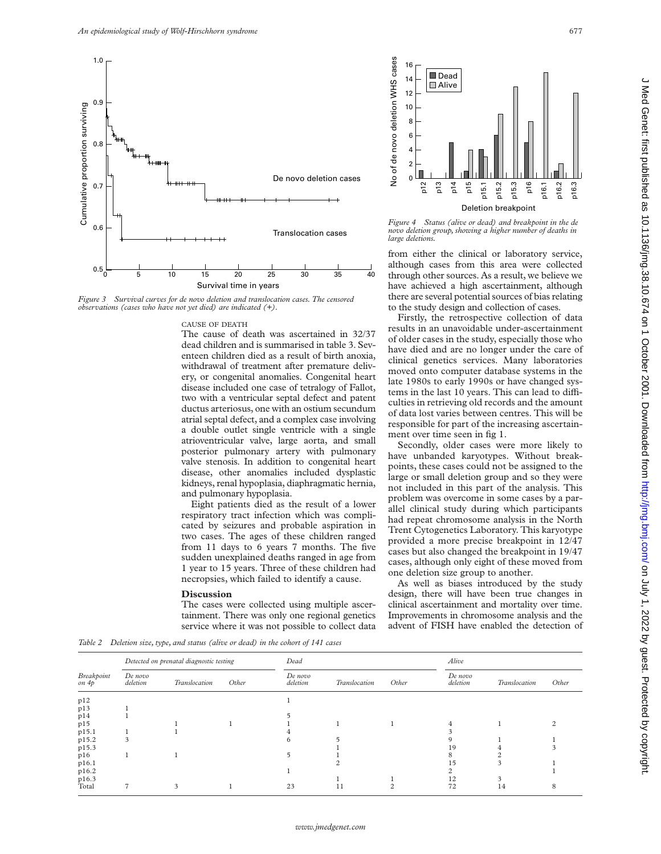

*Figure 3 Survival curves for de novo deletion and translocation cases. The censored observations (cases who have not yet died) are indicated (+).*

#### CAUSE OF DEATH

The cause of death was ascertained in 32/37 dead children and is summarised in table 3. Seventeen children died as a result of birth anoxia, withdrawal of treatment after premature delivery, or congenital anomalies. Congenital heart disease included one case of tetralogy of Fallot, two with a ventricular septal defect and patent ductus arteriosus, one with an ostium secundum atrial septal defect, and a complex case involving a double outlet single ventricle with a single atrioventricular valve, large aorta, and small posterior pulmonary artery with pulmonary valve stenosis. In addition to congenital heart disease, other anomalies included dysplastic kidneys, renal hypoplasia, diaphragmatic hernia, and pulmonary hypoplasia.

Eight patients died as the result of a lower respiratory tract infection which was complicated by seizures and probable aspiration in two cases. The ages of these children ranged from 11 days to 6 years 7 months. The five sudden unexplained deaths ranged in age from 1 year to 15 years. Three of these children had necropsies, which failed to identify a cause.

### **Discussion**

The cases were collected using multiple ascertainment. There was only one regional genetics service where it was not possible to collect data



*Figure 4 Status (alive or dead) and breakpoint in the de novo deletion group, showing a higher number of deaths in large deletions.*

from either the clinical or laboratory service, although cases from this area were collected through other sources. As a result, we believe we have achieved a high ascertainment, although there are several potential sources of bias relating to the study design and collection of cases.

Firstly, the retrospective collection of data results in an unavoidable under-ascertainment of older cases in the study, especially those who have died and are no longer under the care of clinical genetics services. Many laboratories moved onto computer database systems in the late 1980s to early 1990s or have changed systems in the last 10 years. This can lead to difficulties in retrieving old records and the amount of data lost varies between centres. This will be responsible for part of the increasing ascertainment over time seen in fig 1.

Secondly, older cases were more likely to have unbanded karyotypes. Without breakpoints, these cases could not be assigned to the large or small deletion group and so they were not included in this part of the analysis. This problem was overcome in some cases by a parallel clinical study during which participants had repeat chromosome analysis in the North Trent Cytogenetics Laboratory. This karyotype provided a more precise breakpoint in 12/47 cases but also changed the breakpoint in 19/47 cases, although only eight of these moved from one deletion size group to another.

As well as biases introduced by the study design, there will have been true changes in clinical ascertainment and mortality over time. Improvements in chromosome analysis and the advent of FISH have enabled the detection of

*Table 2 Deletion size, type, and status (alive or dead) in the cohort of 141 cases*

| Breakpoint<br>on 4p | Detected on prenatal diagnostic testing |               |       | Dead                |               |       | Alive               |               |       |
|---------------------|-----------------------------------------|---------------|-------|---------------------|---------------|-------|---------------------|---------------|-------|
|                     | De novo<br>deletion                     | Translocation | Other | De novo<br>deletion | Translocation | Other | De novo<br>deletion | Translocation | Other |
| p12                 |                                         |               |       |                     |               |       |                     |               |       |
| p13                 |                                         |               |       |                     |               |       |                     |               |       |
| p14                 |                                         |               |       |                     |               |       |                     |               |       |
| p15                 |                                         |               |       |                     |               |       |                     |               |       |
| p15.1               |                                         |               |       |                     |               |       |                     |               |       |
| p15.2               |                                         |               |       |                     |               |       |                     |               |       |
| p15.3               |                                         |               |       |                     |               |       | 19                  |               |       |
| p16                 |                                         |               |       |                     |               |       |                     |               |       |
| p16.1               |                                         |               |       |                     |               |       | 15                  |               |       |
| p16.2               |                                         |               |       |                     |               |       |                     |               |       |
| p16.3               |                                         |               |       |                     |               |       | 12                  |               |       |
| Total               |                                         | 3             |       | 23                  | 11            |       | 72                  | 14            | 8     |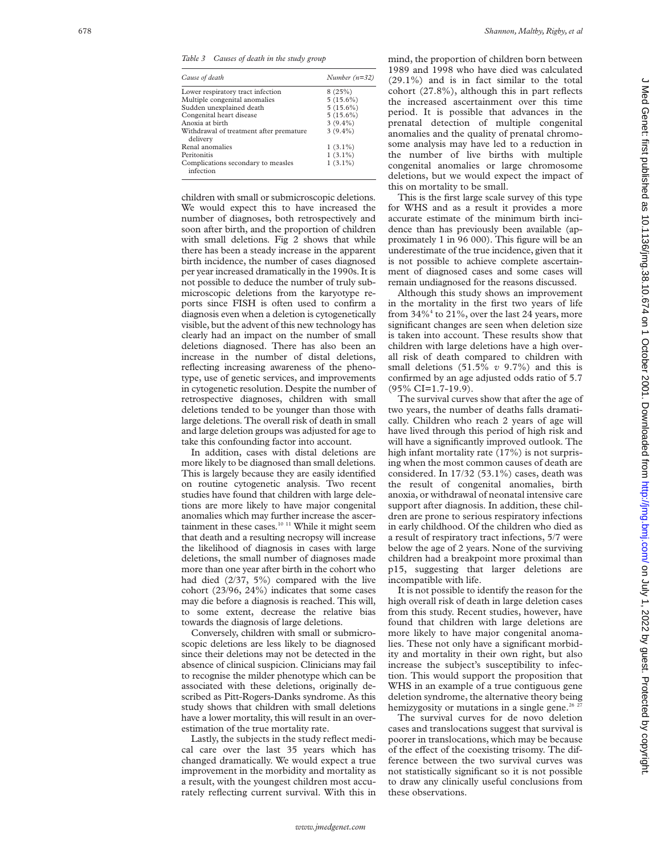*Table 3 Causes of death in the study group*

| Cause of death                                      | Number $(n=32)$ |  |
|-----------------------------------------------------|-----------------|--|
| Lower respiratory tract infection                   | 8(25%)          |  |
| Multiple congenital anomalies                       | $5(15.6\%)$     |  |
| Sudden unexplained death                            | $5(15.6\%)$     |  |
| Congenital heart disease                            | $5(15.6\%)$     |  |
| Anoxia at birth                                     | $3(9.4\%)$      |  |
| Withdrawal of treatment after premature<br>delivery | $3(9.4\%)$      |  |
| Renal anomalies                                     | $1(3.1\%)$      |  |
| Peritonitis                                         | $1(3.1\%)$      |  |
| Complications secondary to measles<br>infection     | $1(3.1\%)$      |  |

children with small or submicroscopic deletions. We would expect this to have increased the number of diagnoses, both retrospectively and soon after birth, and the proportion of children with small deletions. Fig 2 shows that while there has been a steady increase in the apparent birth incidence, the number of cases diagnosed per year increased dramatically in the 1990s. It is not possible to deduce the number of truly submicroscopic deletions from the karyotype reports since FISH is often used to confirm a diagnosis even when a deletion is cytogenetically visible, but the advent of this new technology has clearly had an impact on the number of small deletions diagnosed. There has also been an increase in the number of distal deletions, reflecting increasing awareness of the phenotype, use of genetic services, and improvements in cytogenetic resolution. Despite the number of retrospective diagnoses, children with small deletions tended to be younger than those with large deletions. The overall risk of death in small and large deletion groups was adjusted for age to take this confounding factor into account.

In addition, cases with distal deletions are more likely to be diagnosed than small deletions. This is largely because they are easily identified on routine cytogenetic analysis. Two recent studies have found that children with large deletions are more likely to have major congenital anomalies which may further increase the ascertainment in these cases.10 11 While it might seem that death and a resulting necropsy will increase the likelihood of diagnosis in cases with large deletions, the small number of diagnoses made more than one year after birth in the cohort who had died (2/37, 5%) compared with the live cohort (23/96, 24%) indicates that some cases may die before a diagnosis is reached. This will, to some extent, decrease the relative bias towards the diagnosis of large deletions.

Conversely, children with small or submicroscopic deletions are less likely to be diagnosed since their deletions may not be detected in the absence of clinical suspicion. Clinicians may fail to recognise the milder phenotype which can be associated with these deletions, originally described as Pitt-Rogers-Danks syndrome. As this study shows that children with small deletions have a lower mortality, this will result in an overestimation of the true mortality rate.

Lastly, the subjects in the study reflect medical care over the last 35 years which has changed dramatically. We would expect a true improvement in the morbidity and mortality as a result, with the youngest children most accurately reflecting current survival. With this in mind, the proportion of children born between 1989 and 1998 who have died was calculated (29.1%) and is in fact similar to the total cohort (27.8%), although this in part reflects the increased ascertainment over this time period. It is possible that advances in the prenatal detection of multiple congenital anomalies and the quality of prenatal chromosome analysis may have led to a reduction in the number of live births with multiple congenital anomalies or large chromosome deletions, but we would expect the impact of this on mortality to be small.

This is the first large scale survey of this type for WHS and as a result it provides a more accurate estimate of the minimum birth incidence than has previously been available (approximately 1 in 96 000). This figure will be an underestimate of the true incidence, given that it is not possible to achieve complete ascertainment of diagnosed cases and some cases will remain undiagnosed for the reasons discussed.

Although this study shows an improvement in the mortality in the first two years of life from 34% <sup>4</sup> to 21%, over the last 24 years, more significant changes are seen when deletion size is taken into account. These results show that children with large deletions have a high overall risk of death compared to children with small deletions (51.5% *v* 9.7%) and this is confirmed by an age adjusted odds ratio of 5.7 (95% CI=1.7-19.9).

The survival curves show that after the age of two years, the number of deaths falls dramatically. Children who reach 2 years of age will have lived through this period of high risk and will have a significantly improved outlook. The high infant mortality rate (17%) is not surprising when the most common causes of death are considered. In 17/32 (53.1%) cases, death was the result of congenital anomalies, birth anoxia, or withdrawal of neonatal intensive care support after diagnosis. In addition, these children are prone to serious respiratory infections in early childhood. Of the children who died as a result of respiratory tract infections, 5/7 were below the age of 2 years. None of the surviving children had a breakpoint more proximal than p15, suggesting that larger deletions are incompatible with life.

It is not possible to identify the reason for the high overall risk of death in large deletion cases from this study. Recent studies, however, have found that children with large deletions are more likely to have major congenital anomalies. These not only have a significant morbidity and mortality in their own right, but also increase the subject's susceptibility to infection. This would support the proposition that WHS in an example of a true contiguous gene deletion syndrome, the alternative theory being hemizygosity or mutations in a single gene.<sup>26 2</sup>

The survival curves for de novo deletion cases and translocations suggest that survival is poorer in translocations, which may be because of the effect of the coexisting trisomy. The difference between the two survival curves was not statistically significant so it is not possible to draw any clinically useful conclusions from these observations.